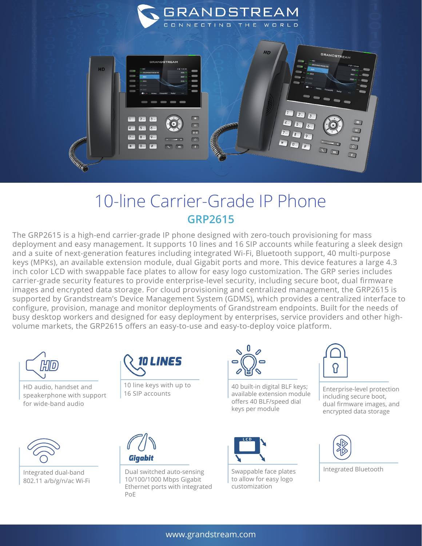

## 10-line Carrier-Grade IP Phone **GRP2615**

The GRP2615 is a high-end carrier-grade IP phone designed with zero-touch provisioning for mass deployment and easy management. It supports 10 lines and 16 SIP accounts while featuring a sleek design and a suite of next-generation features including integrated Wi-Fi, Bluetooth support, 40 multi-purpose keys (MPKs), an available extension module, dual Gigabit ports and more. This device features a large 4.3 inch color LCD with swappable face plates to allow for easy logo customization. The GRP series includes carrier-grade security features to provide enterprise-level security, including secure boot, dual firmware images and encrypted data storage. For cloud provisioning and centralized management, the GRP2615 is supported by Grandstream's Device Management System (GDMS), which provides a centralized interface to configure, provision, manage and monitor deployments of Grandstream endpoints. Built for the needs of busy desktop workers and designed for easy deployment by enterprises, service providers and other highvolume markets, the GRP2615 offers an easy-to-use and easy-to-deploy voice platform.



HD audio, handset and speakerphone with support for wide-band audio



Integrated dual-band 802.11 a/b/g/n/ac Wi-Fi



10 line keys with up to 16 SIP accounts



Dual switched auto-sensing 10/100/1000 Mbps Gigabit Ethernet ports with integrated PoE



40 built-in digital BLF keys; available extension module offers 40 BLF/speed dial keys per module



Swappable face plates to allow for easy logo customization



Enterprise-level protection including secure boot, dual firmware images, and encrypted data storage



Integrated Bluetooth